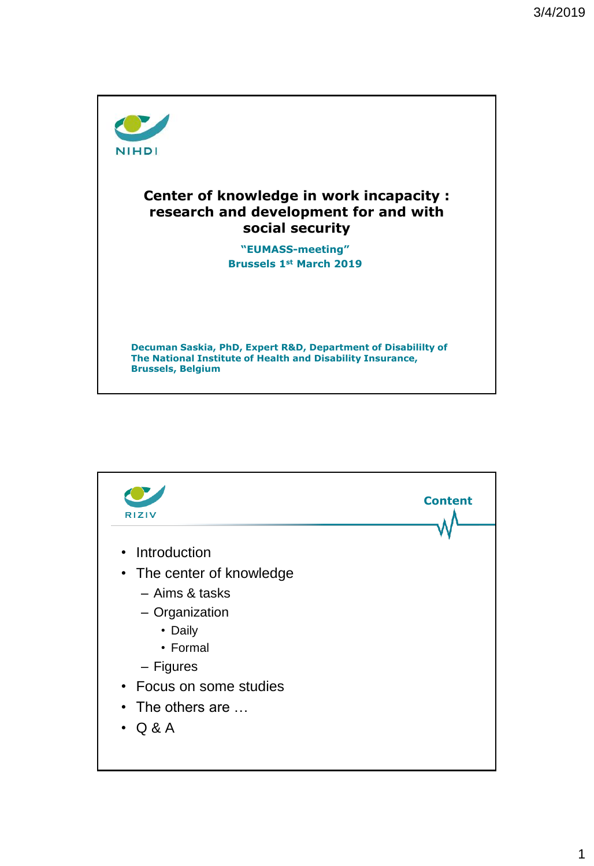

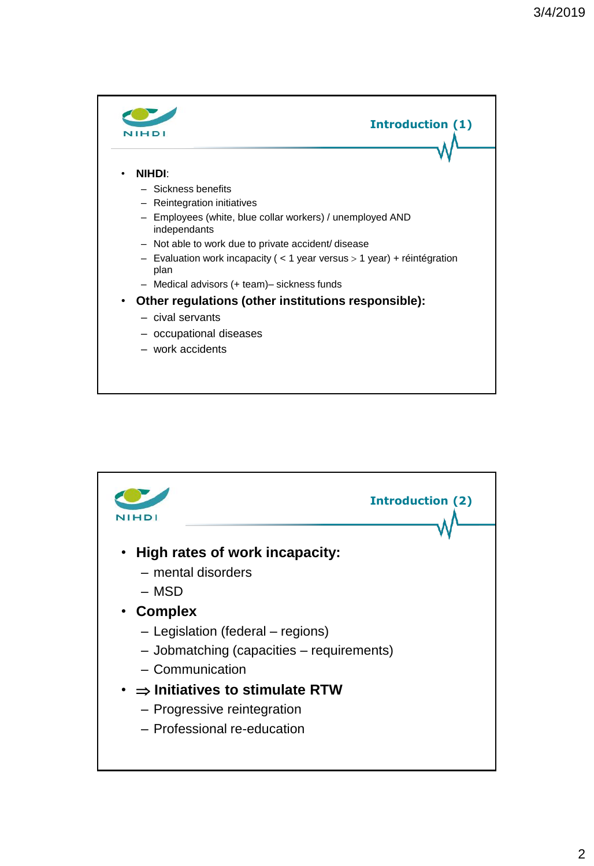

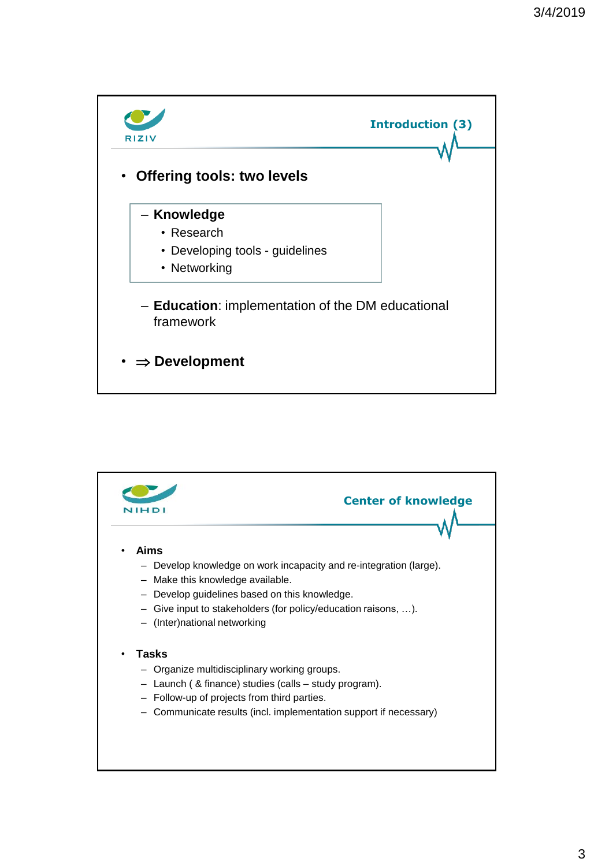

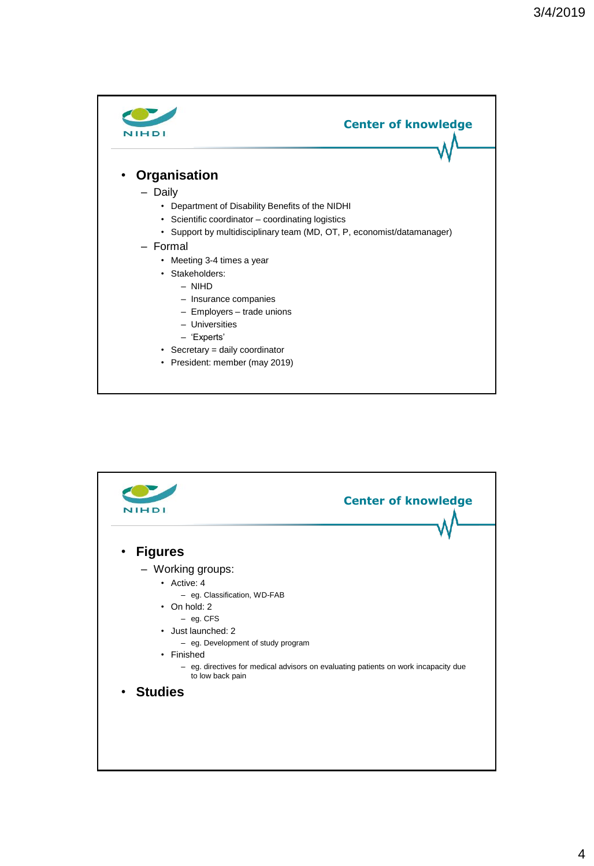

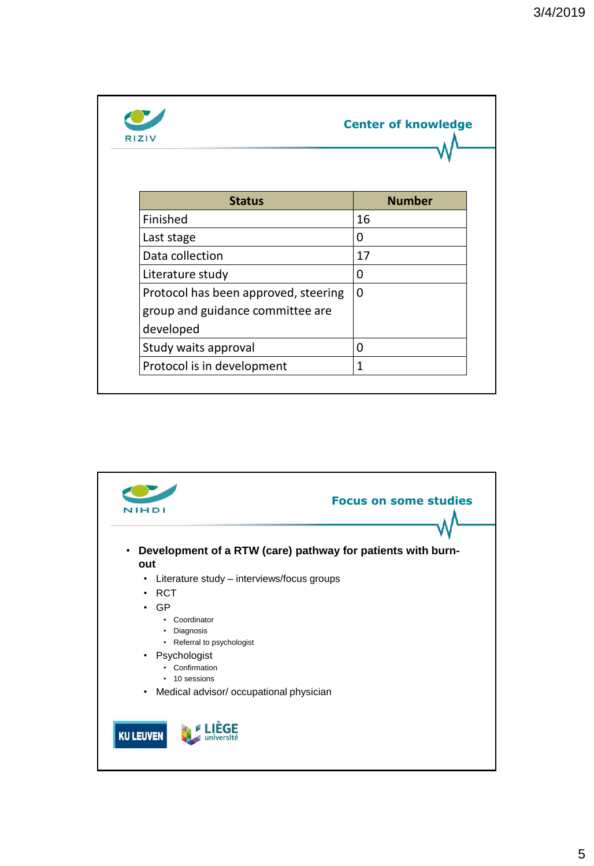| <b>RIZIV</b>                                                                          | <b>Center of knowledge</b> |  |  |
|---------------------------------------------------------------------------------------|----------------------------|--|--|
| <b>Status</b>                                                                         | <b>Number</b>              |  |  |
| Finished                                                                              | 16                         |  |  |
| Last stage                                                                            | 0                          |  |  |
| Data collection                                                                       | 17                         |  |  |
| Literature study                                                                      | 0                          |  |  |
| Protocol has been approved, steering<br>group and guidance committee are<br>developed | $\Omega$                   |  |  |
| Study waits approval                                                                  | 0                          |  |  |
| Protocol is in development                                                            | 1                          |  |  |

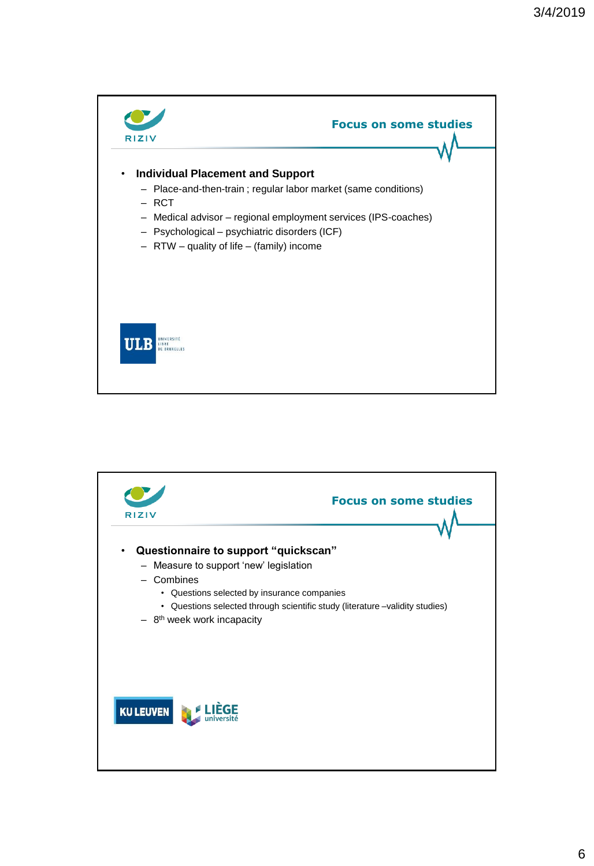

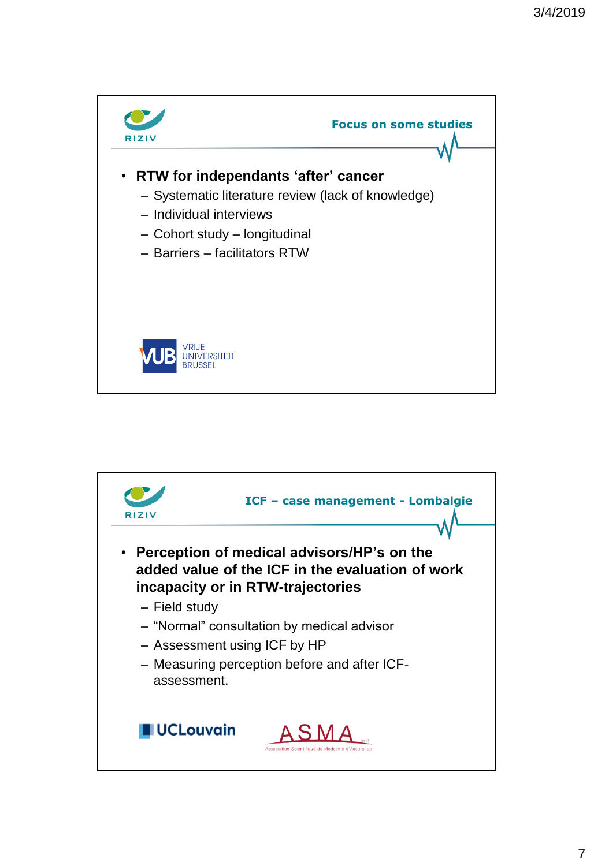

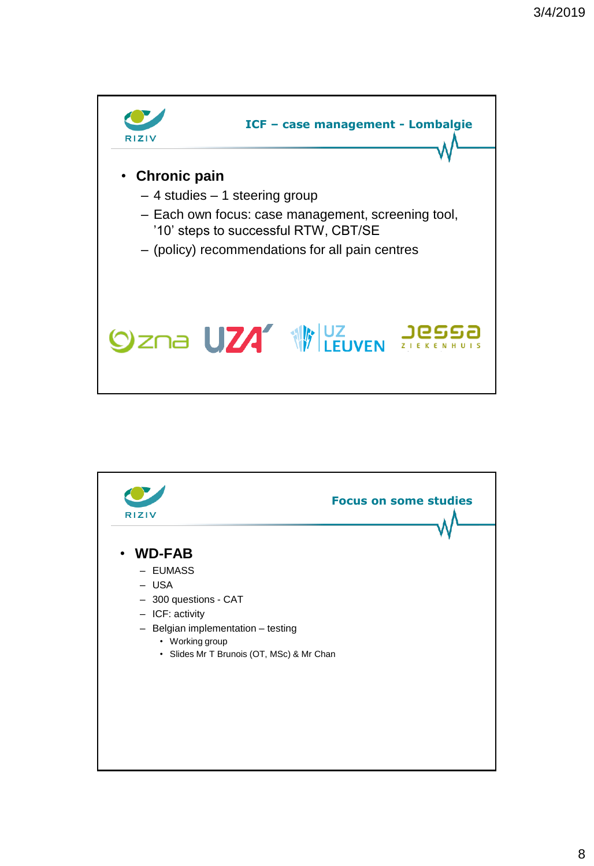

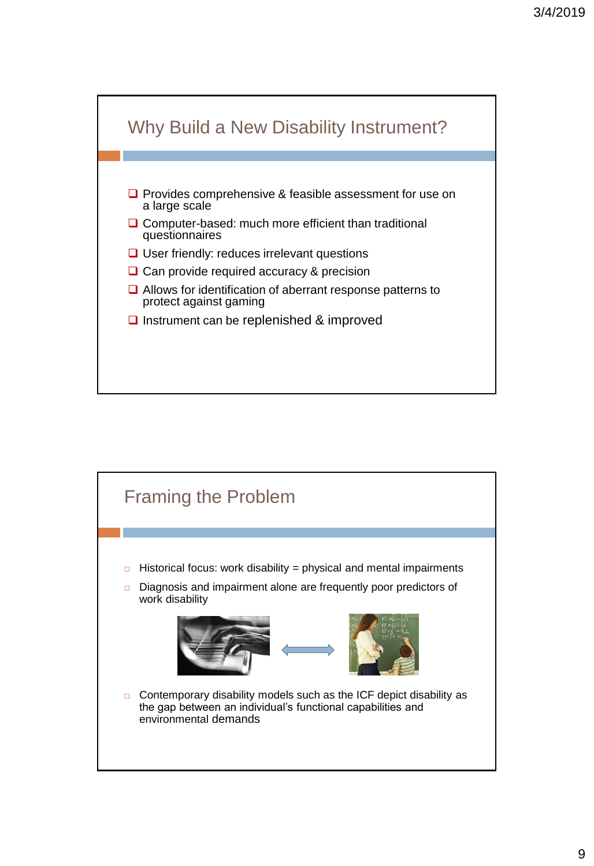

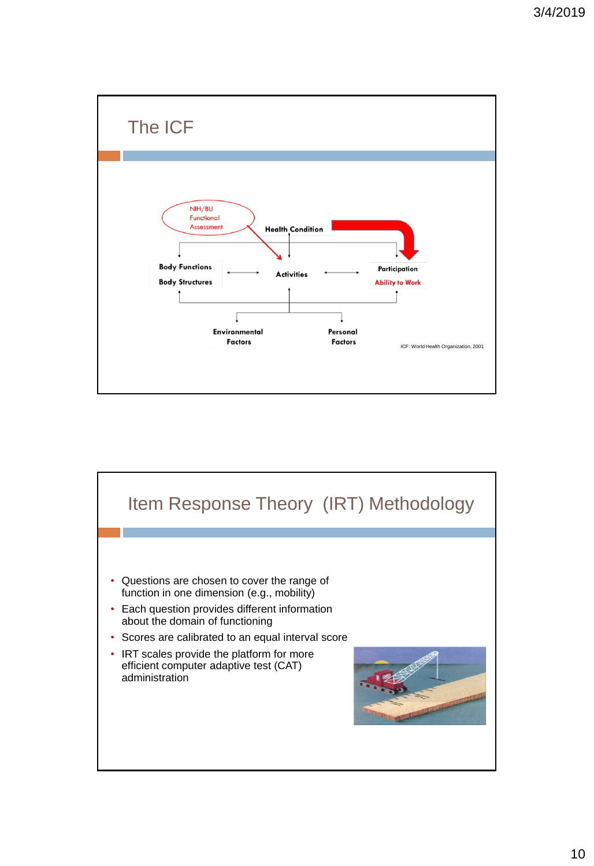

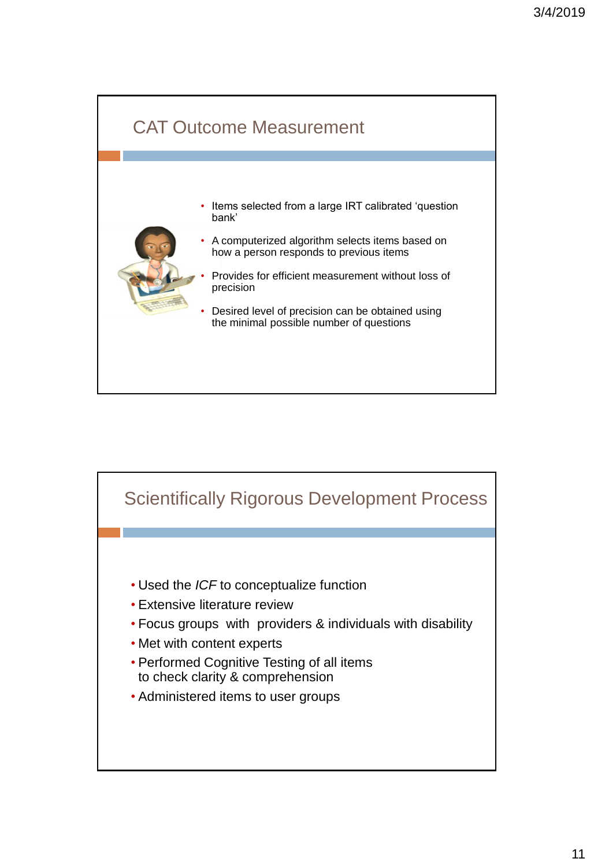

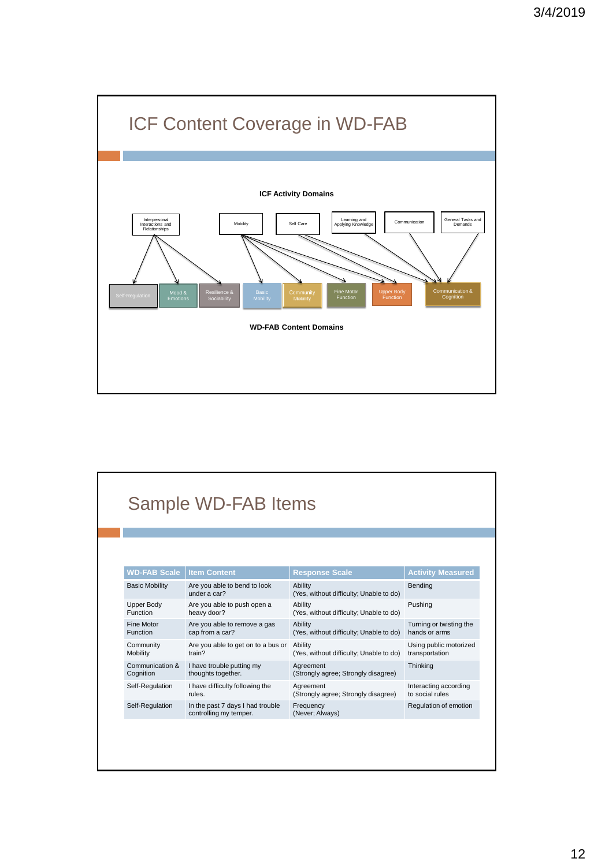

| Sample WD-FAB Items   |                                                            |                                                    |                          |  |
|-----------------------|------------------------------------------------------------|----------------------------------------------------|--------------------------|--|
|                       |                                                            |                                                    |                          |  |
| <b>WD-FAB Scale</b>   | <b>Item Content</b>                                        | <b>Response Scale</b>                              | <b>Activity Measured</b> |  |
| <b>Basic Mobility</b> | Are you able to bend to look<br>under a car?               | Ability<br>(Yes, without difficulty; Unable to do) | Bending                  |  |
| <b>Upper Body</b>     | Are you able to push open a                                | Ability                                            | Pushing                  |  |
| <b>Function</b>       | heavy door?                                                | (Yes, without difficulty; Unable to do)            |                          |  |
| <b>Fine Motor</b>     | Are you able to remove a gas                               | Ability                                            | Turning or twisting the  |  |
| <b>Function</b>       | cap from a car?                                            | (Yes, without difficulty; Unable to do)            | hands or arms            |  |
| Community             | Are you able to get on to a bus or                         | Ability                                            | Using public motorized   |  |
| Mobility              | train?                                                     | (Yes, without difficulty; Unable to do)            | transportation           |  |
| Communication &       | I have trouble putting my                                  | Agreement                                          | Thinking                 |  |
| Cognition             | thoughts together.                                         | (Strongly agree; Strongly disagree)                |                          |  |
| Self-Regulation       | I have difficulty following the                            | Agreement                                          | Interacting according    |  |
|                       | rules.                                                     | (Strongly agree; Strongly disagree)                | to social rules          |  |
| Self-Regulation       | In the past 7 days I had trouble<br>controlling my temper. | Frequency<br>(Never; Always)                       | Regulation of emotion    |  |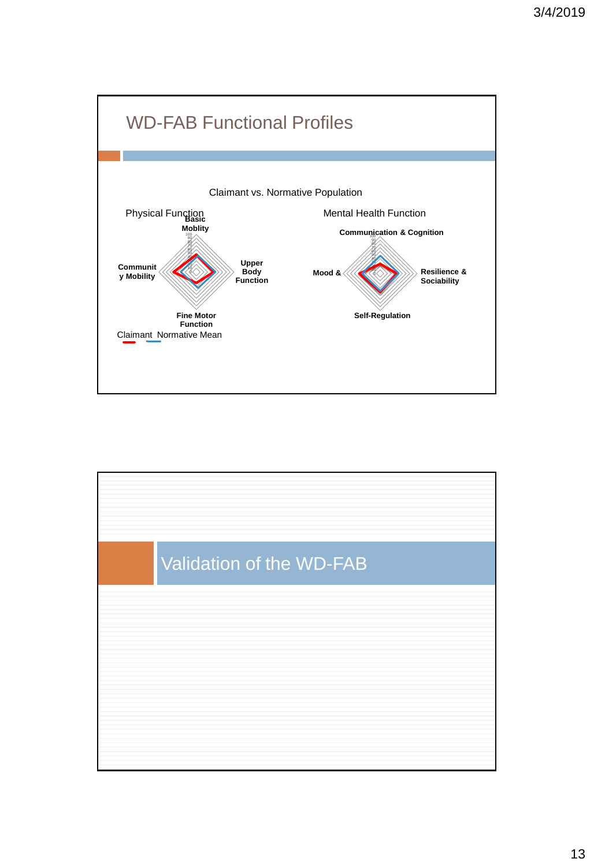

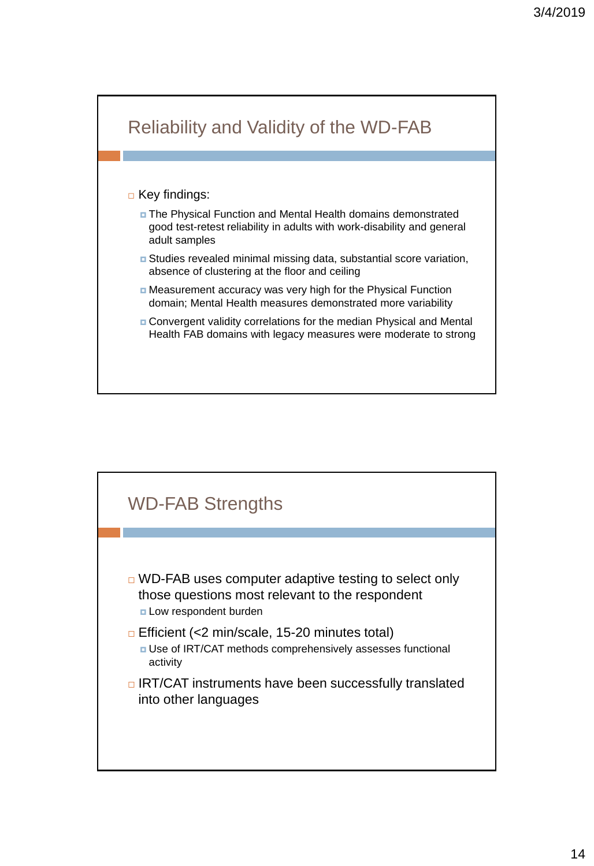

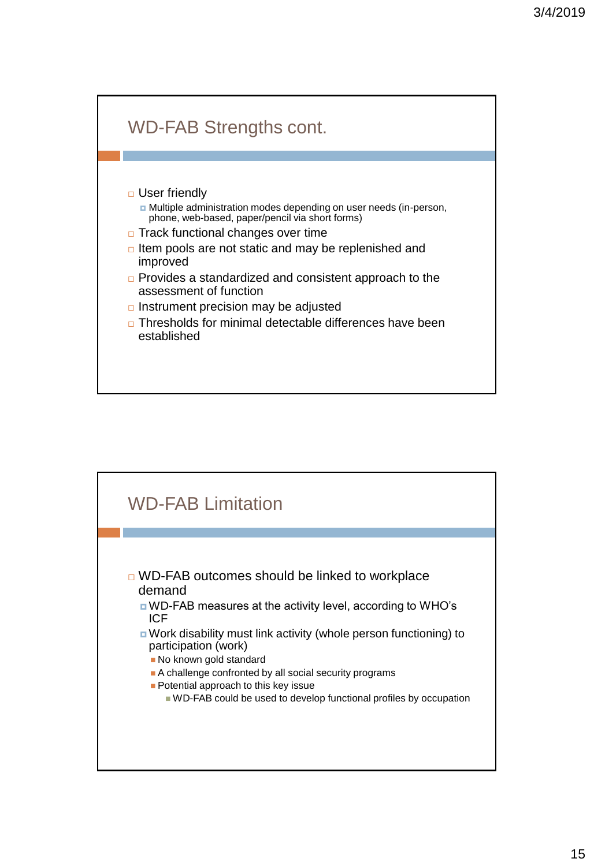

## □ User friendly Multiple administration modes depending on user needs (in-person, phone, web-based, paper/pencil via short forms)

- □ Track functional changes over time
- $\Box$  Item pools are not static and may be replenished and improved
- □ Provides a standardized and consistent approach to the assessment of function
- $\Box$  Instrument precision may be adjusted
- □ Thresholds for minimal detectable differences have been established

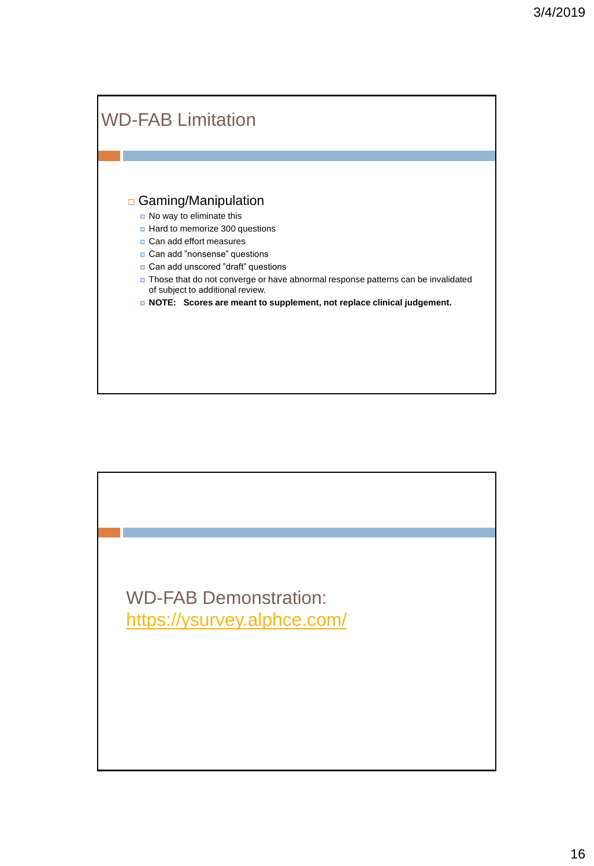

WD-FAB Demonstration: <https://ysurvey.alphce.com/>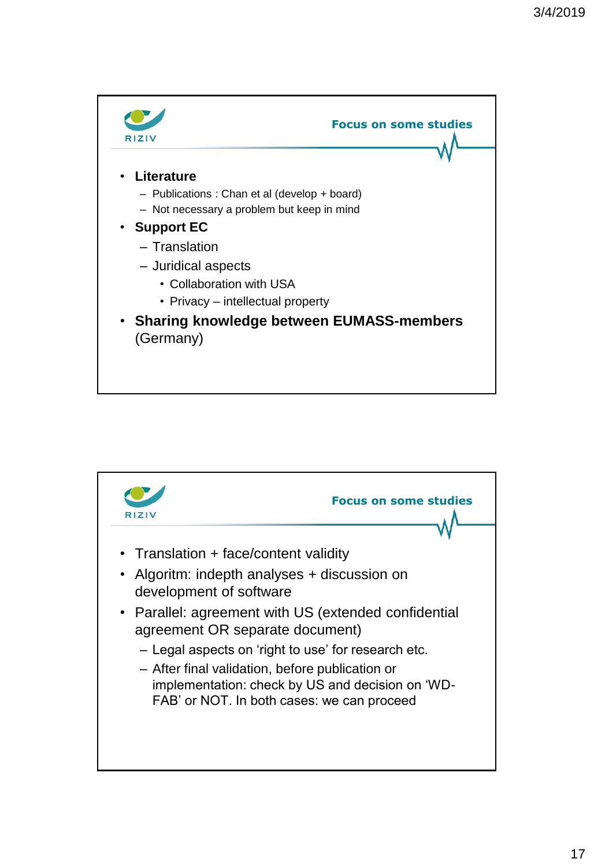

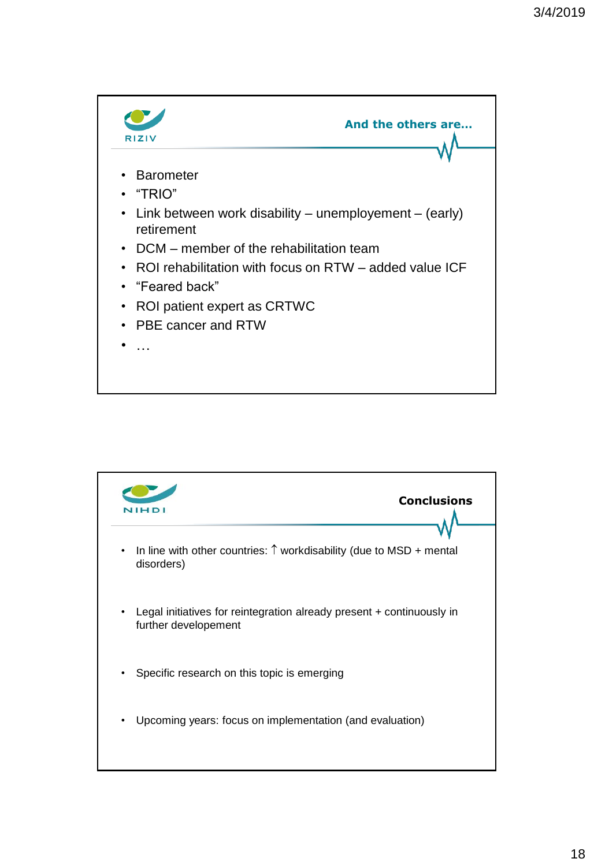